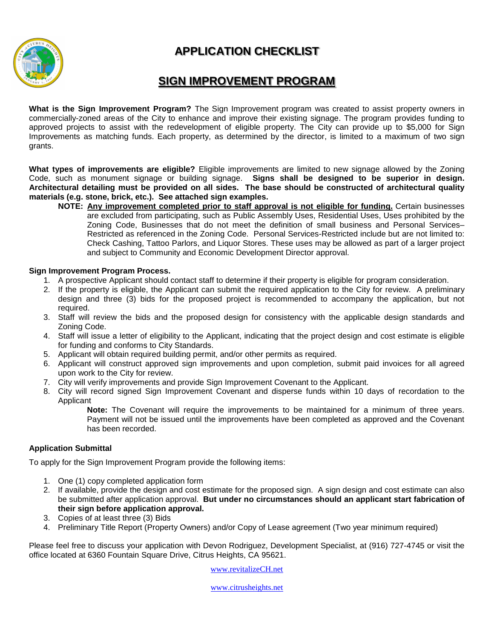## **APPLICATION CHECKLIST**



### **SIGN IMPROVEMENT PROGRAM**

**What is the Sign Improvement Program?** The Sign Improvement program was created to assist property owners in commercially-zoned areas of the City to enhance and improve their existing signage. The program provides funding to approved projects to assist with the redevelopment of eligible property. The City can provide up to \$5,000 for Sign Improvements as matching funds. Each property, as determined by the director, is limited to a maximum of two sign grants.

**What types of improvements are eligible?** Eligible improvements are limited to new signage allowed by the Zoning Code, such as monument signage or building signage. **Signs shall be designed to be superior in design. Architectural detailing must be provided on all sides. The base should be constructed of architectural quality materials (e.g. stone, brick, etc.). See attached sign examples.**

**NOTE: Any improvement completed prior to staff approval is not eligible for funding.** Certain businesses are excluded from participating, such as Public Assembly Uses, Residential Uses, Uses prohibited by the Zoning Code, Businesses that do not meet the definition of small business and Personal Services– Restricted as referenced in the Zoning Code. Personal Services-Restricted include but are not limited to: Check Cashing, Tattoo Parlors, and Liquor Stores. These uses may be allowed as part of a larger project and subject to Community and Economic Development Director approval.

#### **Sign Improvement Program Process.**

- 1. A prospective Applicant should contact staff to determine if their property is eligible for program consideration.
- 2. If the property is eligible, the Applicant can submit the required application to the City for review. A preliminary design and three (3) bids for the proposed project is recommended to accompany the application, but not required.
- 3. Staff will review the bids and the proposed design for consistency with the applicable design standards and Zoning Code.
- 4. Staff will issue a letter of eligibility to the Applicant, indicating that the project design and cost estimate is eligible for funding and conforms to City Standards.
- 5. Applicant will obtain required building permit, and/or other permits as required.
- 6. Applicant will construct approved sign improvements and upon completion, submit paid invoices for all agreed upon work to the City for review.
- 7. City will verify improvements and provide Sign Improvement Covenant to the Applicant.
- 8. City will record signed Sign Improvement Covenant and disperse funds within 10 days of recordation to the Applicant

**Note:** The Covenant will require the improvements to be maintained for a minimum of three years. Payment will not be issued until the improvements have been completed as approved and the Covenant has been recorded.

#### **Application Submittal**

To apply for the Sign Improvement Program provide the following items:

- 1. One (1) copy completed application form
- 2. If available, provide the design and cost estimate for the proposed sign. A sign design and cost estimate can also be submitted after application approval. **But under no circumstances should an applicant start fabrication of their sign before application approval.**
- 3. Copies of at least three (3) Bids
- 4. Preliminary Title Report (Property Owners) and/or Copy of Lease agreement (Two year minimum required)

Please feel free to discuss your application with Devon Rodriguez, Development Specialist, at (916) 727-4745 or visit the office located at 6360 Fountain Square Drive, Citrus Heights, CA 95621.

[www.revitalizeCH.net](http://www.revitalizech.net/)

www.citrusheights.net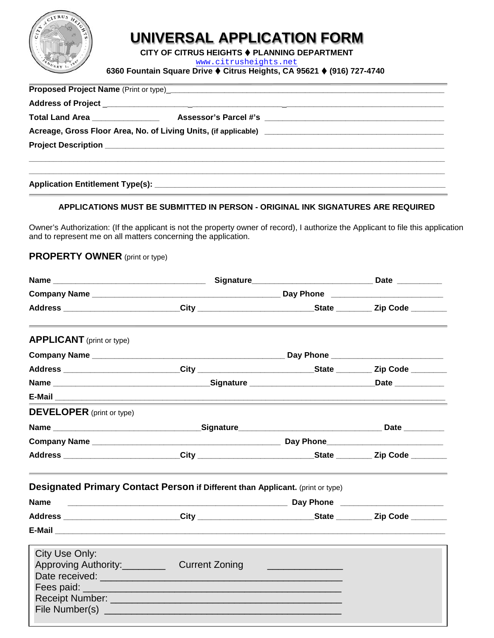

# **UNIVERSAL APPLICATION FORM**

**CITY OF CITRUS HEIGHTS**  $\blacklozenge$  **PLANNING DEPARTMENT** 

[www.citrusheights.net](http://www.citrusheights.net/)

**6360 Fountain Square Drive Citrus Heights, CA 95621 (916) 727-4740**

| Proposed Project Name (Print or type)<br>and the contract of the contract of the contract of the contract of the contract of the contract of the contract of the contract of the contract of the contract of the contract of the |  |
|----------------------------------------------------------------------------------------------------------------------------------------------------------------------------------------------------------------------------------|--|
|                                                                                                                                                                                                                                  |  |
|                                                                                                                                                                                                                                  |  |
|                                                                                                                                                                                                                                  |  |
|                                                                                                                                                                                                                                  |  |
|                                                                                                                                                                                                                                  |  |

#### **APPLICATIONS MUST BE SUBMITTED IN PERSON - ORIGINAL INK SIGNATURES ARE REQUIRED**

Owner's Authorization: (If the applicant is not the property owner of record), I authorize the Applicant to file this application and to represent me on all matters concerning the application.

#### **PROPERTY OWNER** (print or type)

| Address ____________________________City ______________________________State ___________Zip Code _________                                                                                                                                                                                    |  |  |  |
|-----------------------------------------------------------------------------------------------------------------------------------------------------------------------------------------------------------------------------------------------------------------------------------------------|--|--|--|
| <b>APPLICANT</b> (print or type)                                                                                                                                                                                                                                                              |  |  |  |
|                                                                                                                                                                                                                                                                                               |  |  |  |
| __________________________________City ___________________________State ________ Zip Code ________                                                                                                                                                                                            |  |  |  |
|                                                                                                                                                                                                                                                                                               |  |  |  |
|                                                                                                                                                                                                                                                                                               |  |  |  |
| <b>DEVELOPER</b> (print or type)                                                                                                                                                                                                                                                              |  |  |  |
|                                                                                                                                                                                                                                                                                               |  |  |  |
|                                                                                                                                                                                                                                                                                               |  |  |  |
| Address ___________________________City ___________________________State _________ Zip Code ________                                                                                                                                                                                          |  |  |  |
| Designated Primary Contact Person if Different than Applicant. (print or type)                                                                                                                                                                                                                |  |  |  |
|                                                                                                                                                                                                                                                                                               |  |  |  |
| Address ___________________________City _____________________________State __________Zip Code __________                                                                                                                                                                                      |  |  |  |
|                                                                                                                                                                                                                                                                                               |  |  |  |
| City Use Only:<br>Approving Authority: Current Zoning<br>Date received: <b>Manual According to the Contract of According to the Contract of According to the Contract of According to the Contract of According to the Contract of According to the Contract of According to the Contract</b> |  |  |  |